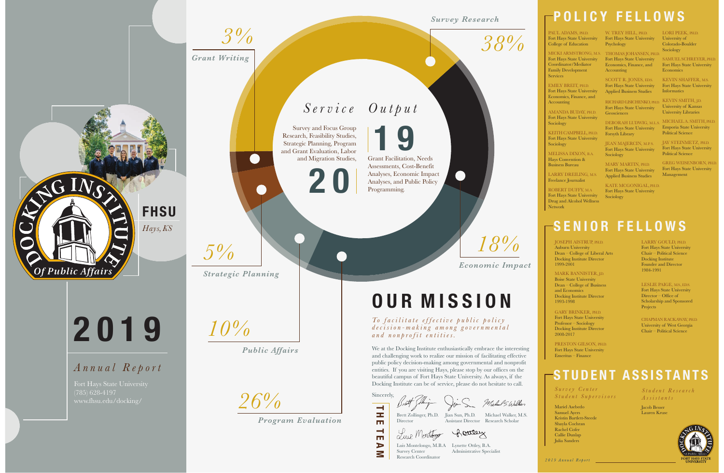### **SENIOR FELLOWS**

LARRY GOULD, PH.D.

Fort Hays State University Chair – Political Science Docking Institute Founder and Director 1984-1991

MARK BANNISTER, I.D. Boise State University Dean – College of Business and Economics Docking Institute Director 1993-1998

JOSEPH AISTRUP, PH.D. Auburn University Dean – College of Liberal Arts Docking Institute Director 1999-2001

> Fort Hays State University Director – Office of Scholarship and Sponsored **Projects**

PRESTON GILSON, PH.D. Fort Hays State University Emeritus – Finance

GARY BRINKER, PH.D. Fort Hays State University Professor – Sociology Docking Institute Director 2008-2017

*To facilitate effective public policy decision-making among governmental and nonprofit entities.*

LESLIE PAIGE, M.S., ED.S.

CHAPMAN RACKAWAY, PH.D. University of West Georgia Chair – Political Science

Sincerely, Michael S. Walker  $\overline{\mathbf{H}}$ 

*Survey Center Student Supervisors*

Luis Montelongo, M.B.A Lynette Ottley, B.A. Administrative Specialist *Student Research Assistants*

Brett Zollinger, Ph.D. Jian Sun, Ph.D. Michael Walker, M.S. Assistant Director Research Scholar

Luce Montergy Rousey Survey Center Research Coordinator

Mariel Asebedo Samuel Ayers Kristin Bartlett-Steede Shayla Cochran Rachel Cofer Callie Dunlap Julia Sanders

Jacob Besser Lauren Kruse



### **STUDENT ASSISTANTS**

PAUL ADAMS, PH.D. Fort Hays State University College of Education

# **OUR MISSION**

W. TREY HILL, PH.D. Fort Hays State University Psychology

We at the Docking Institute enthusiastically embrace the interesting and challenging work to realize our mission of facilitating effective public policy decision-making among governmental and nonprofit entities. If you are visiting Hays, please stop by our offices on the beautiful campus of Fort Hays State University. As always, if the Docking Institute can be of service, please do not hesitate to call.

SCOTT R. JONES, ED.S. Fort Hays State University Applied Business Studies

JEAN MAJERCIN, M.P.S. Fort Hays State University Sociology



 $\triangleright$ Μ *38%*

*Survey Research*

 $\bullet$ 

*18%*

*Economic Impact*

**1 9** Grant Facilitation, Needs Assessments, Cost-Benefit Analyses, Economic Impact Analyses, and Public Policy Programming.

## **POLICY FELLOWS**

Fort Hays State University Coordinator/Mediator Family Development Services

EMILY BREIT, PH.D. Fort Hays State University Economics, Finance, and Accounting

AMANDA BUDAY, PH.D. Fort Hays State University Sociology

KEITH CAMPBELL, PH.D. Fort Hays State University Sociology

MICKI ARMSTRONG, M.S. THOMAS JOHANSEN, PH.D. Fort Hays State University Economics, Finance, and Accounting

MELISSA DIXON, B.A. Hays Convention & Business Bureau

LARRY DREILING, M.S. Freelance Journalist

ROBERT DUFFY, M.A Fort Hays State University Drug and Alcohol Wellness Network

### *Output Service*

RICHARD LISICHENKO, PH.D. KEVIN SMITH, J.D. Fort Hays State University Geosciences

DEBORAH LUDWIG, M.L.S. Fort Hays State University Forsyth Library

MARY MARTIN, PH.D. Fort Hays State University Applied Business Studies

KATE MCGONIGAL, PH.D. Fort Hays State University Sociology

LORI PEEK, PH.D. University of Colorado-Boulder Sociology

SAMUEL SCHREYER, PH.D. Fort Hays State University Economics

KEVIN SHAFFER, M.S. Fort Hays State University Informatics

University of Kansas University Libraries

MICHAEL A. SMITH, PH.D. Emporia State University Political Science

JAY STEINMETZ, PH.D. Fort Hays State University Political Science

GREG WEISENBORN, PH.D. Fort Hays State University Management

*26%*

*Program Evaluation*

*3%*

*Grant Writing*

*5%*

*Strategic Planning*

 $\qquad \qquad \bullet$ 

*10%*

*Public Affairs*

**2 0**

Survey and Focus Group Research, Feasibility Studies, Strategic Planning, Program and Grant Evaluation, Labor and Migration Studies,

**2019**

### *Annual Report*

(785) 628-4197 www.fhsu.edu/docking/